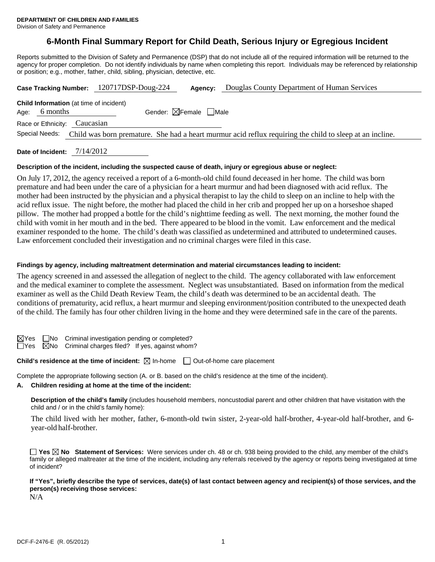# **6-Month Final Summary Report for Child Death, Serious Injury or Egregious Incident**

Reports submitted to the Division of Safety and Permanence (DSP) that do not include all of the required information will be returned to the agency for proper completion. Do not identify individuals by name when completing this report. Individuals may be referenced by relationship or position; e.g., mother, father, child, sibling, physician, detective, etc.

| Case Tracking Number: 120717DSP-Doug-224                                                                                   |                                        | Agency: | Douglas County Department of Human Services |  |  |  |
|----------------------------------------------------------------------------------------------------------------------------|----------------------------------------|---------|---------------------------------------------|--|--|--|
| <b>Child Information</b> (at time of incident)<br>6 months<br>Age:                                                         | Gender: $\boxtimes$ Female $\Box$ Male |         |                                             |  |  |  |
| Race or Ethnicity: Caucasian                                                                                               |                                        |         |                                             |  |  |  |
| Special Needs:<br>Child was born premature. She had a heart murmur acid reflux requiring the child to sleep at an incline. |                                        |         |                                             |  |  |  |
|                                                                                                                            |                                        |         |                                             |  |  |  |

**Date of Incident:** 7/14/2012

#### **Description of the incident, including the suspected cause of death, injury or egregious abuse or neglect:**

On July 17, 2012, the agency received a report of a 6-month-old child found deceased in her home. The child was born premature and had been under the care of a physician for a heart murmur and had been diagnosed with acid reflux. The mother had been instructed by the physician and a physical therapist to lay the child to sleep on an incline to help with the acid reflux issue. The night before, the mother had placed the child in her crib and propped her up on a horseshoe shaped pillow. The mother had propped a bottle for the child's nighttime feeding as well. The next morning, the mother found the child with vomit in her mouth and in the bed. There appeared to be blood in the vomit. Law enforcement and the medical examiner responded to the home. The child's death was classified as undetermined and attributed to undetermined causes. Law enforcement concluded their investigation and no criminal charges were filed in this case.

#### **Findings by agency, including maltreatment determination and material circumstances leading to incident:**

The agency screened in and assessed the allegation of neglect to the child. The agency collaborated with law enforcement and the medical examiner to complete the assessment. Neglect was unsubstantiated. Based on information from the medical examiner as well as the Child Death Review Team, the child's death was determined to be an accidental death. The conditions of prematurity, acid reflux, a heart murmur and sleeping environment/position contributed to the unexpected death of the child. The family has four other children living in the home and they were determined safe in the care of the parents.

 $\boxtimes$ Yes  $\Box$ No Criminal investigation pending or completed?

 $\Box$ Yes  $\boxtimes$ No Criminal charges filed? If yes, against whom?

**Child's residence at the time of incident:**  $\boxtimes$  In-home  $\Box$  Out-of-home care placement

Complete the appropriate following section (A. or B. based on the child's residence at the time of the incident).

# **A. Children residing at home at the time of the incident:**

**Description of the child's family** (includes household members, noncustodial parent and other children that have visitation with the child and / or in the child's family home):

The child lived with her mother, father, 6-month-old twin sister, 2-year-old half-brother, 4-year-old half-brother, and 6 year-old half-brother.

**Yes No Statement of Services:** Were services under ch. 48 or ch. 938 being provided to the child, any member of the child's family or alleged maltreater at the time of the incident, including any referrals received by the agency or reports being investigated at time of incident?

**If "Yes", briefly describe the type of services, date(s) of last contact between agency and recipient(s) of those services, and the person(s) receiving those services:** 

N/A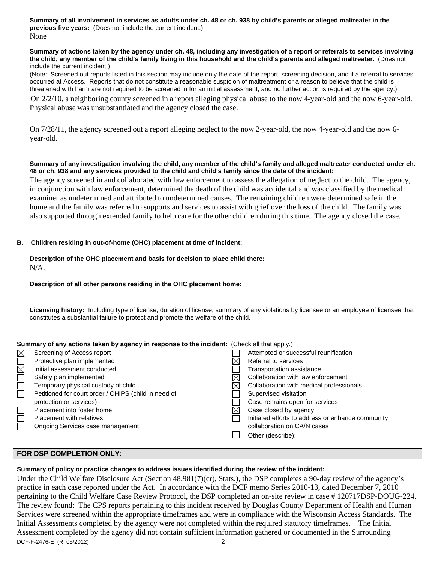**Summary of all involvement in services as adults under ch. 48 or ch. 938 by child's parents or alleged maltreater in the previous five years:** (Does not include the current incident.) None

#### **Summary of actions taken by the agency under ch. 48, including any investigation of a report or referrals to services involving the child, any member of the child's family living in this household and the child's parents and alleged maltreater.** (Does not include the current incident.)

(Note: Screened out reports listed in this section may include only the date of the report, screening decision, and if a referral to services occurred at Access. Reports that do not constitute a reasonable suspicion of maltreatment or a reason to believe that the child is threatened with harm are not required to be screened in for an initial assessment, and no further action is required by the agency.)

 On 2/2/10, a neighboring county screened in a report alleging physical abuse to the now 4-year-old and the now 6-year-old. Physical abuse was unsubstantiated and the agency closed the case.

On 7/28/11, the agency screened out a report alleging neglect to the now 2-year-old, the now 4-year-old and the now 6 year-old.

#### **Summary of any investigation involving the child, any member of the child's family and alleged maltreater conducted under ch. 48 or ch. 938 and any services provided to the child and child's family since the date of the incident:**

 The agency screened in and collaborated with law enforcement to assess the allegation of neglect to the child. The agency, in conjunction with law enforcement, determined the death of the child was accidental and was classified by the medical examiner as undetermined and attributed to undetermined causes. The remaining children were determined safe in the home and the family was referred to supports and services to assist with grief over the loss of the child. The family was also supported through extended family to help care for the other children during this time. The agency closed the case.

#### **B. Children residing in out-of-home (OHC) placement at time of incident:**

# **Description of the OHC placement and basis for decision to place child there:**

N/A.

## **Description of all other persons residing in the OHC placement home:**

**Licensing history:** Including type of license, duration of license, summary of any violations by licensee or an employee of licensee that constitutes a substantial failure to protect and promote the welfare of the child.

| Summary of any actions taken by agency in response to the incident: (Check all that apply.) |                                                      |  |                                                   |  |  |
|---------------------------------------------------------------------------------------------|------------------------------------------------------|--|---------------------------------------------------|--|--|
| $\boxtimes$                                                                                 | Screening of Access report                           |  | Attempted or successful reunification             |  |  |
|                                                                                             | Protective plan implemented                          |  | Referral to services                              |  |  |
| $\overline{\boxtimes}$                                                                      | Initial assessment conducted                         |  | Transportation assistance                         |  |  |
|                                                                                             | Safety plan implemented                              |  | Collaboration with law enforcement                |  |  |
|                                                                                             | Temporary physical custody of child                  |  | Collaboration with medical professionals          |  |  |
| П                                                                                           | Petitioned for court order / CHIPS (child in need of |  | Supervised visitation                             |  |  |
|                                                                                             | protection or services)                              |  | Case remains open for services                    |  |  |
|                                                                                             | Placement into foster home                           |  | Case closed by agency                             |  |  |
|                                                                                             | <b>Placement with relatives</b>                      |  | Initiated efforts to address or enhance community |  |  |
|                                                                                             | Ongoing Services case management                     |  | collaboration on CA/N cases                       |  |  |
|                                                                                             |                                                      |  | Other (describe):                                 |  |  |

# **FOR DSP COMPLETION ONLY:**

#### **Summary of policy or practice changes to address issues identified during the review of the incident:**

DCF-F-2476-E (R. 05/2012) 2 Under the Child Welfare Disclosure Act (Section 48.981(7)(cr), Stats.), the DSP completes a 90-day review of the agency's practice in each case reported under the Act. In accordance with the DCF memo Series 2010-13, dated December 7, 2010 pertaining to the Child Welfare Case Review Protocol, the DSP completed an on-site review in case # 120717DSP-DOUG-224. The review found: The CPS reports pertaining to this incident received by Douglas County Department of Health and Human Services were screened within the appropriate timeframes and were in compliance with the Wisconsin Access Standards. The Initial Assessments completed by the agency were not completed within the required statutory timeframes. The Initial Assessment completed by the agency did not contain sufficient information gathered or documented in the Surrounding